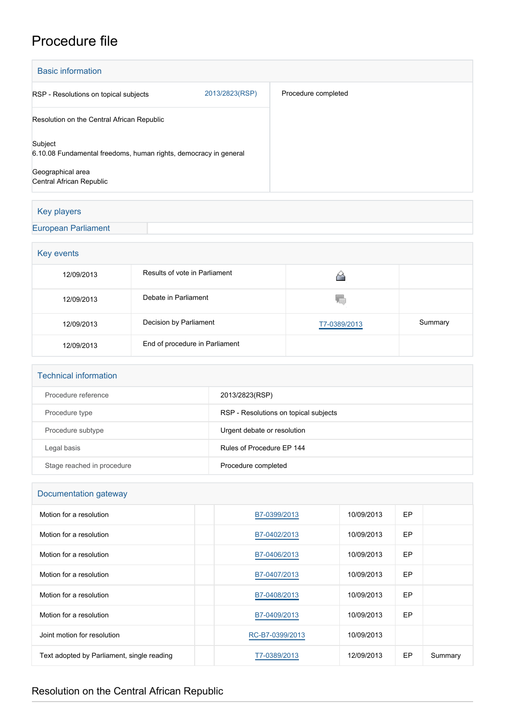## Procedure file

| <b>Basic information</b>                                                    |                |                     |  |  |
|-----------------------------------------------------------------------------|----------------|---------------------|--|--|
| RSP - Resolutions on topical subjects                                       | 2013/2823(RSP) | Procedure completed |  |  |
| Resolution on the Central African Republic                                  |                |                     |  |  |
| Subject<br>6.10.08 Fundamental freedoms, human rights, democracy in general |                |                     |  |  |
| Geographical area<br>Central African Republic                               |                |                     |  |  |

## Key players

## [European Parliament](http://www.europarl.europa.eu/)

| Key events |                                |              |         |  |  |  |
|------------|--------------------------------|--------------|---------|--|--|--|
| 12/09/2013 | Results of vote in Parliament  |              |         |  |  |  |
| 12/09/2013 | Debate in Parliament           | V.           |         |  |  |  |
| 12/09/2013 | Decision by Parliament         | T7-0389/2013 | Summary |  |  |  |
| 12/09/2013 | End of procedure in Parliament |              |         |  |  |  |

| <b>Technical information</b> |                                       |
|------------------------------|---------------------------------------|
| Procedure reference          | 2013/2823(RSP)                        |
| Procedure type               | RSP - Resolutions on topical subjects |
| Procedure subtype            | Urgent debate or resolution           |
| Legal basis                  | Rules of Procedure FP 144             |
| Stage reached in procedure   | Procedure completed                   |

| Documentation gateway                      |                 |            |           |         |  |
|--------------------------------------------|-----------------|------------|-----------|---------|--|
| Motion for a resolution                    | B7-0399/2013    | 10/09/2013 | <b>EP</b> |         |  |
| Motion for a resolution                    | B7-0402/2013    | 10/09/2013 | EP        |         |  |
| Motion for a resolution                    | B7-0406/2013    | 10/09/2013 | EP        |         |  |
| Motion for a resolution                    | B7-0407/2013    | 10/09/2013 | <b>EP</b> |         |  |
| Motion for a resolution                    | B7-0408/2013    | 10/09/2013 | EP        |         |  |
| Motion for a resolution                    | B7-0409/2013    | 10/09/2013 | EP        |         |  |
| Joint motion for resolution                | RC-B7-0399/2013 | 10/09/2013 |           |         |  |
| Text adopted by Parliament, single reading | T7-0389/2013    | 12/09/2013 | <b>EP</b> | Summary |  |

## Resolution on the Central African Republic